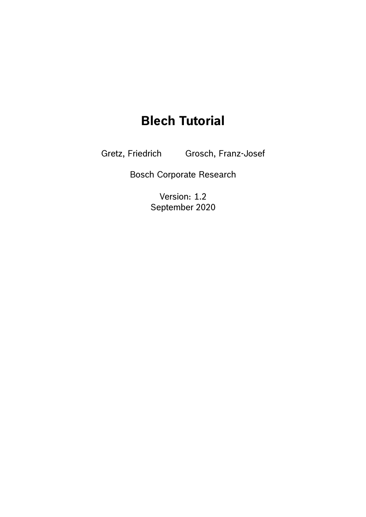# **Blech Tutorial**

Gretz, Friedrich Grosch, Franz-Josef

Bosch Corporate Research

Version: 1.2 September 2020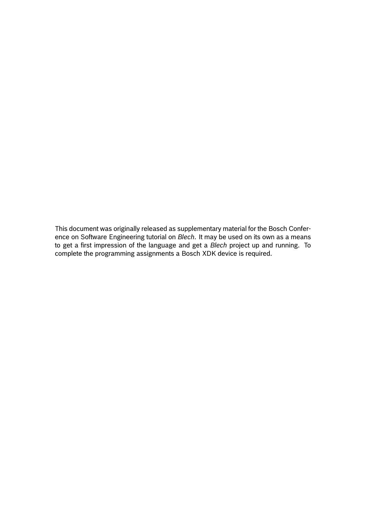This document was originally released as supplementary material for the Bosch Conference on Software Engineering tutorial on *Blech*. It may be used on its own as a means to get a first impression of the language and get a *Blech* project up and running. To complete the programming assignments a Bosch XDK device is required.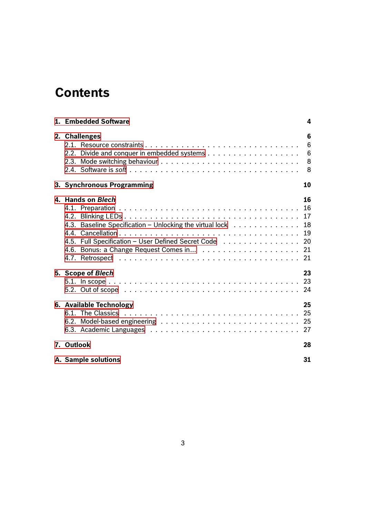# **Contents**

| 1. Embedded Software                                                                                                                      | 4                |
|-------------------------------------------------------------------------------------------------------------------------------------------|------------------|
| 2. Challenges                                                                                                                             | 6<br>6<br>6<br>8 |
| 3. Synchronous Programming                                                                                                                | 10               |
| 4. Hands on Blech<br>4.3. Baseline Specification - Unlocking the virtual lock 18<br>4.5. Full Specification - User Defined Secret Code 20 | 16               |
| 5. Scope of Blech                                                                                                                         | 23               |
| 6. Available Technology                                                                                                                   | 25               |
| 7. Outlook                                                                                                                                | 28               |
| A. Sample solutions                                                                                                                       | 31               |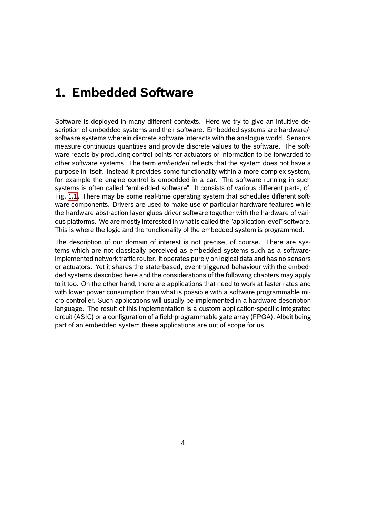### <span id="page-3-0"></span>**1. Embedded Software**

Software is deployed in many different contexts. Here we try to give an intuitive description of embedded systems and their software. Embedded systems are hardware/ software systems wherein discrete software interacts with the analogue world. Sensors measure continuous quantities and provide discrete values to the software. The software reacts by producing control points for actuators or information to be forwarded to other software systems. The term *embedded* reflects that the system does not have a purpose in itself. Instead it provides some functionality within a more complex system, for example the engine control is embedded in a car. The software running in such systems is often called "embedded software". It consists of various different parts, cf. Fig. 1.1. There may be some real-time operating system that schedules different software components. Drivers are used to make use of particular hardware features while the hardware abstraction layer glues driver software together with the hardware of various platforms. We are mostly interested in what is called the "application level" software. This [is w](#page-4-0)here the logic and the functionality of the embedded system is programmed.

The description of our domain of interest is not precise, of course. There are systems which are not classically perceived as embedded systems such as a softwareimplemented network traffic router. It operates purely on logical data and has no sensors or actuators. Yet it shares the state-based, event-triggered behaviour with the embedded systems described here and the considerations of the following chapters may apply to it too. On the other hand, there are applications that need to work at faster rates and with lower power consumption than what is possible with a software programmable micro controller. Such applications will usually be implemented in a hardware description language. The result of this implementation is a custom application-specific integrated circuit (ASIC) or a configuration of a field-programmable gate array (FPGA). Albeit being part of an embedded system these applications are out of scope for us.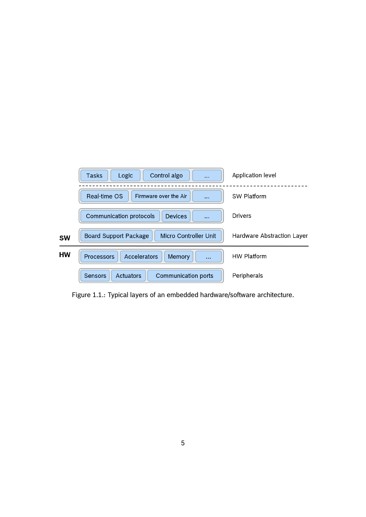|           | Control algo<br>Tasks<br>Logic<br>$\cdots$                       | Application level          |
|-----------|------------------------------------------------------------------|----------------------------|
|           | Real-time OS<br>Firmware over the Air<br>$\cdots$                | SW Platform                |
|           | <b>Communication protocols</b><br><b>Devices</b><br>$\cdots$     | <b>Drivers</b>             |
| <b>SW</b> | <b>Micro Controller Unit</b><br><b>Board Support Package</b>     | Hardware Abstraction Layer |
| <b>HW</b> | Accelerators<br><b>Processors</b><br>Memory<br>$\cdots$          | HW Platform                |
|           | <b>Actuators</b><br><b>Communication ports</b><br><b>Sensors</b> | Peripherals                |

<span id="page-4-0"></span>Figure 1.1.: Typical layers of an embedded hardware/software architecture.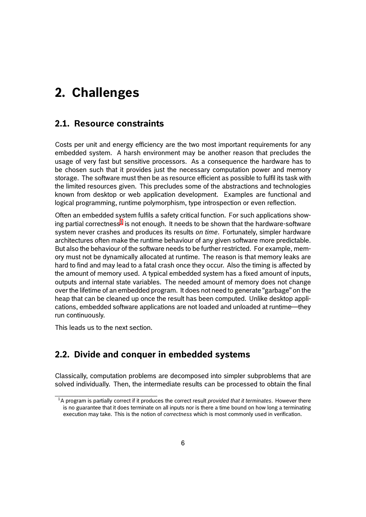# <span id="page-5-0"></span>**2. Challenges**

#### **2.1. Resource constraints**

<span id="page-5-1"></span>Costs per unit and energy efficiency are the two most important requirements for any embedded system. A harsh environment may be another reason that precludes the usage of very fast but sensitive processors. As a consequence the hardware has to be chosen such that it provides just the necessary computation power and memory storage. The software must then be as resource efficient as possible to fulfil its task with the limited resources given. This precludes some of the abstractions and technologies known from desktop or web application development. Examples are functional and logical programming, runtime polymorphism, type introspection or even reflection.

Often an embedded system fulfils a safety critical function. For such applications showing partial correctness $^1$  is not enough. It needs to be shown that the hardware-software system never crashes and produces its results *on time*. Fortunately, simpler hardware architectures often make the runtime behaviour of any given software more predictable. But also the behaviou[r o](#page-5-3)f the software needs to be further restricted. For example, memory must not be dynamically allocated at runtime. The reason is that memory leaks are hard to find and may lead to a fatal crash once they occur. Also the timing is affected by the amount of memory used. A typical embedded system has a fixed amount of inputs, outputs and internal state variables. The needed amount of memory does not change over the lifetime of an embedded program. It does not need to generate "garbage" on the heap that can be cleaned up once the result has been computed. Unlike desktop applications, embedded software applications are not loaded and unloaded at runtime—they run continuously.

This leads us to the next section.

### **2.2. Divide and conquer in embedded systems**

<span id="page-5-2"></span>Classically, computation problems are decomposed into simpler subproblems that are solved individually. Then, the intermediate results can be processed to obtain the final

<span id="page-5-3"></span><sup>1</sup>A program is partially correct if it produces the correct result *provided that it terminates*. However there is no guarantee that it does terminate on all inputs nor is there a time bound on how long a terminating execution may take. This is the notion of *correctness* which is most commonly used in verification.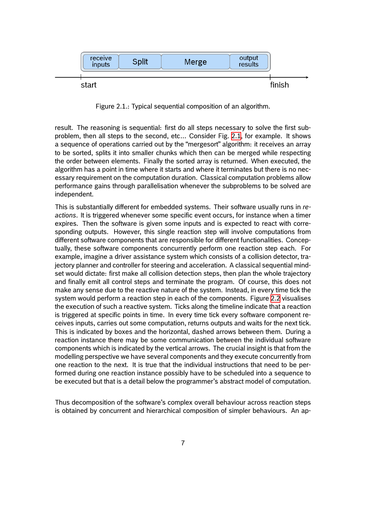

<span id="page-6-0"></span>Figure 2.1.: Typical sequential composition of an algorithm.

result. The reasoning is sequential: first do all steps necessary to solve the first subproblem, then all steps to the second, etc… Consider Fig. 2.1, for example. It shows a sequence of operations carried out by the "mergesort" algorithm: it receives an array to be sorted, splits it into smaller chunks which then can be merged while respecting the order between elements. Finally the sorted array is returned. When executed, the algorithm has a point in time where it starts and where it ter[mina](#page-6-0)tes but there is no necessary requirement on the computation duration. Classical computation problems allow performance gains through parallelisation whenever the subproblems to be solved are independent.

This is substantially different for embedded systems. Their software usually runs in *reactions*. It is triggered whenever some specific event occurs, for instance when a timer expires. Then the software is given some inputs and is expected to react with corresponding outputs. However, this single reaction step will involve computations from different software components that are responsible for different functionalities. Conceptually, these software components concurrently perform one reaction step each. For example, imagine a driver assistance system which consists of a collision detector, trajectory planner and controller for steering and acceleration. A classical sequential mindset would dictate: first make all collision detection steps, then plan the whole trajectory and finally emit all control steps and terminate the program. Of course, this does not make any sense due to the reactive nature of the system. Instead, in every time tick the system would perform a reaction step in each of the components. Figure 2.2 visualises the execution of such a reactive system. Ticks along the timeline indicate that a reaction is triggered at specific points in time. In every time tick every software component receives inputs, carries out some computation, returns outputs and waits for the next tick. This is indicated by boxes and the horizontal, dashed arrows between t[hem](#page-7-2). During a reaction instance there may be some communication between the individual software components which is indicated by the vertical arrows. The crucial insight is that from the modelling perspective we have several components and they execute concurrently from one reaction to the next. It is true that the individual instructions that need to be performed during one reaction instance possibly have to be scheduled into a sequence to be executed but that is a detail below the programmer's abstract model of computation.

Thus decomposition of the software's complex overall behaviour across reaction steps is obtained by concurrent and hierarchical composition of simpler behaviours. An ap-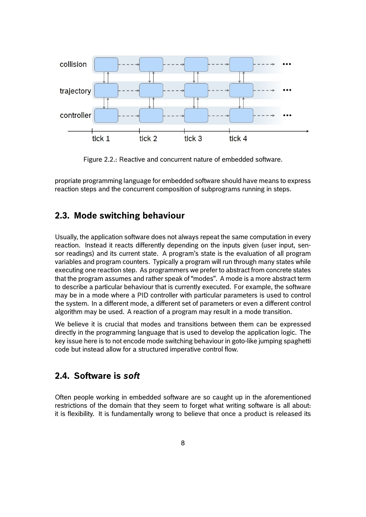

<span id="page-7-2"></span>Figure 2.2.: Reactive and concurrent nature of embedded software.

propriate programming language for embedded software should have means to express reaction steps and the concurrent composition of subprograms running in steps.

### <span id="page-7-0"></span>**2.3. Mode switching behaviour**

Usually, the application software does not always repeat the same computation in every reaction. Instead it reacts differently depending on the inputs given (user input, sensor readings) and its current state. A program's state is the evaluation of all program variables and program counters. Typically a program will run through many states while executing one reaction step. As programmers we prefer to abstract from concrete states that the program assumes and rather speak of "modes". A mode is a more abstract term to describe a particular behaviour that is currently executed. For example, the software may be in a mode where a PID controller with particular parameters is used to control the system. In a different mode, a different set of parameters or even a different control algorithm may be used. A reaction of a program may result in a mode transition.

We believe it is crucial that modes and transitions between them can be expressed directly in the programming language that is used to develop the application logic. The key issue here is to not encode mode switching behaviour in goto-like jumping spaghetti code but instead allow for a structured imperative control flow.

#### <span id="page-7-1"></span>**2.4. Software is** *soft*

Often people working in embedded software are so caught up in the aforementioned restrictions of the domain that they seem to forget what writing software is all about: it is flexibility. It is fundamentally wrong to believe that once a product is released its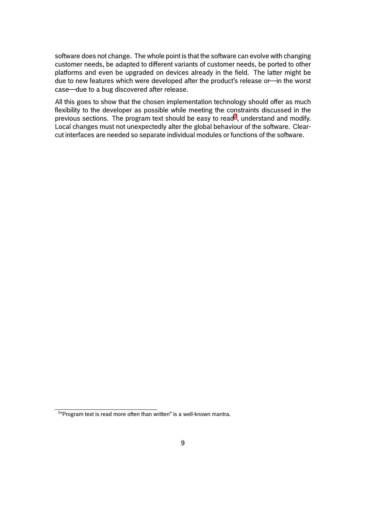software does not change. The whole point is that the software can evolve with changing customer needs, be adapted to different variants of customer needs, be ported to other platforms and even be upgraded on devices already in the field. The latter might be due to new features which were developed after the product's release or—in the worst case—due to a bug discovered after release.

All this goes to show that the chosen implementation technology should offer as much flexibility to the developer as possible while meeting the constraints discussed in the previous sections. The program text should be easy to read<sup>2</sup>, understand and modify. Local changes must not unexpectedly alter the global behaviour of the software. Clearcut interfaces are needed so separate individual modules or functions of the software.

 $2$ "Program text is read more often than written" is a well-known mantra.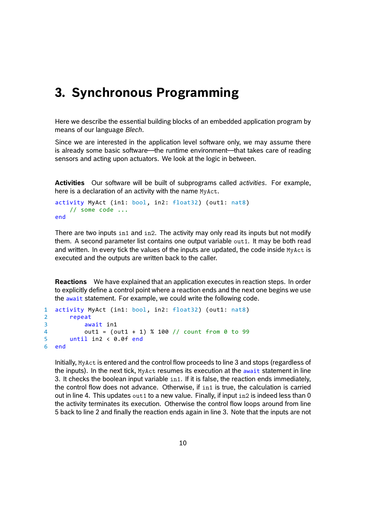### <span id="page-9-0"></span>**3. Synchronous Programming**

Here we describe the essential building blocks of an embedded application program by means of our language *Blech*.

Since we are interested in the application level software only, we may assume there is already some basic software—the runtime environment—that takes care of reading sensors and acting upon actuators. We look at the logic in between.

**Activities** Our software will be built of subprograms called *activities*. For example, here is a declaration of an activity with the name MyAct.

```
activity MyAct (in1: bool, in2: float32) (out1: nat8)
    // some code ...
end
```
There are two inputs in1 and in2. The activity may only read its inputs but not modify them. A second parameter list contains one output variable out1. It may be both read and written. In every tick the values of the inputs are updated, the code inside MyAct is executed and the outputs are written back to the caller.

**Reactions** We have explained that an application executes in reaction steps. In order to explicitly define a control point where a reaction ends and the next one begins we use the await statement. For example, we could write the following code.

```
1 activity MyAct (in1: bool, in2: float32) (out1: nat8)
2 repeat
3 await in1
4 out1 = (out1 + 1) % 100 // count from 0 to 99
5 until in2 < 0.0f end
6 end
```
Initially, MyAct is entered and the control flow proceeds to line 3 and stops (regardless of the inputs). In the next tick, MyAct resumes its execution at the await statement in line 3. It checks the boolean input variable in1. If it is false, the reaction ends immediately, the control flow does not advance. Otherwise, if in1 is true, the calculation is carried out in line 4. This updates  $out1$  to a new value. Finally, if input  $in2$  is indeed less than 0 the activity terminates its execution. Otherwise the control flow loops around from line 5 back to line 2 and finally the reaction ends again in line 3. Note that the inputs are not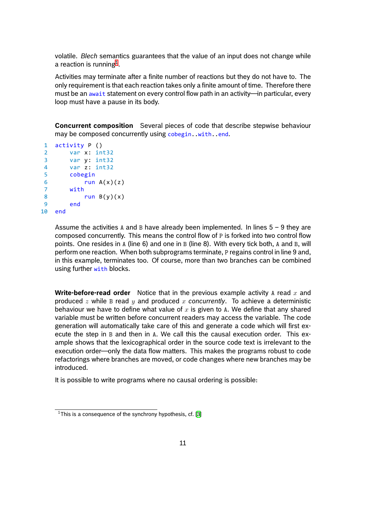volatile. *Blech* semantics guarantees that the value of an input does not change while a reaction is running $^{\rm 1}.$ 

Activities may terminate after a finite number of reactions but they do not have to. The only requirement is that each reaction takes only a finite amount of time. Therefore there must be an await st[ate](#page-10-0)ment on every control flow path in an activity—in particular, every loop must have a pause in its body.

**Concurrent composition** Several pieces of code that describe stepwise behaviour may be composed concurrently using cobegin..with..end.

```
1 activity P ()
2 var x: int32
3 var y: int32
4 var z: int32
5 cobegin
6 run A(x)(z)7 with
8 run B(y)(x)9 end
10 end
```
Assume the activities A and B have already been implemented. In lines  $5 - 9$  they are composed concurrently. This means the control flow of P is forked into two control flow points. One resides in A (line 6) and one in B (line 8). With every tick both, A and B, will perform one reaction. When both subprograms terminate, P regains control in line 9 and, in this example, terminates too. Of course, more than two branches can be combined using further with blocks.

**Write-before-read order** Notice that in the previous example activity A read *x* and produced *z* while B read *y* and produced *x concurrently*. To achieve a deterministic behaviour we have to define what value of *x* is given to A. We define that any shared variable must be written before concurrent readers may access the variable. The code generation will automatically take care of this and generate a code which will first execute the step in B and then in A. We call this the causal execution order. This example shows that the lexicographical order in the source code text is irrelevant to the execution order—only the data flow matters. This makes the programs robust to code refactorings where branches are moved, or code changes where new branches may be introduced.

It is possible to write programs where no causal ordering is possible:

<span id="page-10-0"></span><sup>&</sup>lt;sup>1</sup>This is a consequence of the synchrony hypothesis, cf. [3]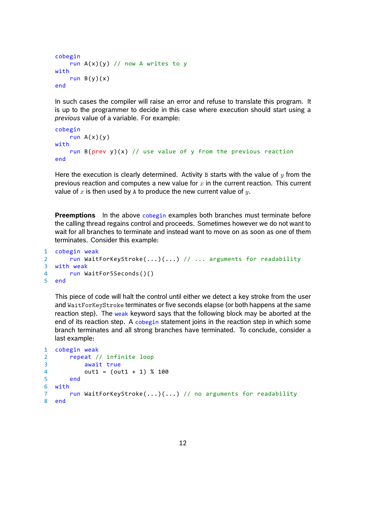```
cobegin
    run A(x)(y) // now A writes to y
with
    run B(y)(x)end
```
In such cases the compiler will raise an error and refuse to translate this program. It is up to the programmer to decide in this case where execution should start using a *previous* value of a variable. For example:

```
cobegin
   run A(x)(y)with
   run B(prev y)(x) // use value of y from the previous reaction
end
```
Here the execution is clearly determined. Activity B starts with the value of *y* from the previous reaction and computes a new value for *x* in the current reaction. This current value of *x* is then used by A to produce the new current value of *y*.

**Preemptions** In the above cobegin examples both branches must terminate before the calling thread regains control and proceeds. Sometimes however we do not want to wait for all branches to terminate and instead want to move on as soon as one of them terminates. Consider this example:

```
1 cobegin weak
2 run WaitForKeyStroke(...)(...) // ... arguments for readability
3 with weak
4 run WaitFor5Seconds()()
5 end
```
This piece of code will halt the control until either we detect a key stroke from the user and WaitForKeyStroke terminates or five seconds elapse (or both happens at the same reaction step). The weak keyword says that the following block may be aborted at the end of its reaction step. A cobegin statement joins in the reaction step in which some branch terminates and all strong branches have terminated. To conclude, consider a last example:

```
1 cobegin weak
2 repeat // infinite loop
3 await true
4 out1 = (out1 + 1) % 100
5 end
6 with
7 run WaitForKeyStroke(...)(...) // no arguments for readability
8 end
```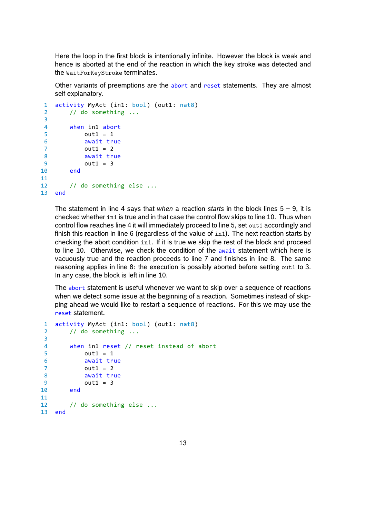Here the loop in the first block is intentionally infinite. However the block is weak and hence is aborted at the end of the reaction in which the key stroke was detected and the WaitForKeyStroke terminates.

Other variants of preemptions are the abort and reset statements. They are almost self explanatory.

```
1 activity MyAct (in1: bool) (out1: nat8)
2 // do something ...
3
4 when in1 abort
5 out1 = 1
6 await true
7 out1 = 2
8 await true
9 out1 = 3
10 end
11
12 // do something else ...
13 end
```
The statement in line 4 says that *when* a reaction *starts* in the block lines 5 – 9, it is checked whether in1 is true and in that case the control flow skips to line 10. Thus when control flow reaches line 4 it will immediately proceed to line 5, set out1 accordingly and finish this reaction in line 6 (regardless of the value of in1). The next reaction starts by checking the abort condition in1. If it is true we skip the rest of the block and proceed to line 10. Otherwise, we check the condition of the await statement which here is vacuously true and the reaction proceeds to line 7 and finishes in line 8. The same reasoning applies in line 8: the execution is possibly aborted before setting  $out1$  to 3. In any case, the block is left in line 10.

The abort statement is useful whenever we want to skip over a sequence of reactions when we detect some issue at the beginning of a reaction. Sometimes instead of skipping ahead we would like to restart a sequence of reactions. For this we may use the reset statement.

```
1 activity MyAct (in1: bool) (out1: nat8)
2 // do something ...
3
4 when in1 reset // reset instead of abort
5 out1 = 1
6 await true
7 out1 = 2
8 await true
9 out1 = 3
10 end
11
12 // do something else ...
13 end
```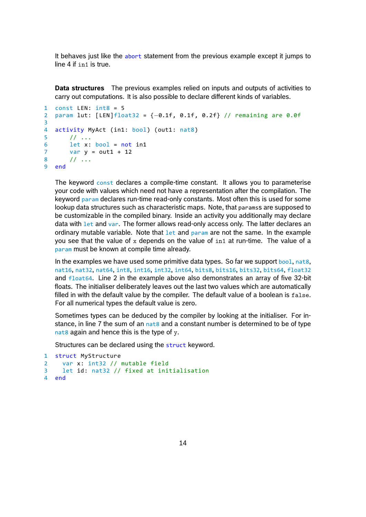It behaves just like the abort statement from the previous example except it jumps to line 4 if in1 is true.

**Data structures** The previous examples relied on inputs and outputs of activities to carry out computations. It is also possible to declare different kinds of variables.

```
1 const LEN: int8 = 52 param lut: [LEN]float32 = {−0.1f, 0.1f, 0.2f} // remaining are 0.0f
3
4 activity MyAct (in1: bool) (out1: nat8)
5 / / / ...6 let x: bool = not in1
7 var y = out1 + 128 // ...
9 end
```
The keyword const declares a compile-time constant. It allows you to parameterise your code with values which need not have a representation after the compilation. The keyword param declares run-time read-only constants. Most often this is used for some lookup data structures such as characteristic maps. Note, that paramss are supposed to be customizable in the compiled binary. Inside an activity you additionally may declare data with let and var. The former allows read-only access only. The latter declares an ordinary mutable variable. Note that  $1$ et and param are not the same. In the example you see that the value of x depends on the value of  $\sin 1$  at run-time. The value of a param must be known at compile time already.

In the examples we have used some primitive data types. So far we support  $bool$ , nat8, nat16, nat32, nat64, int8, int16, int32, int64, bits8, bits16, bits32, bits64, float32 and float64. Line 2 in the example above also demonstrates an array of five 32-bit floats. The initialiser deliberately leaves out the last two values which are automatically filled in with the default value by the compiler. The default value of a boolean is false. For all numerical types the default value is zero.

Sometimes types can be deduced by the compiler by looking at the initialiser. For instance, in line 7 the sum of an  $n_{\text{at}}$  and a constant number is determined to be of type nat8 again and hence this is the type of  $y$ .

Structures can be declared using the struct keyword.

```
1 struct MyStructure
2 var x: int32 // mutable field
3 let id: nat32 // fixed at initialisation
4 end
```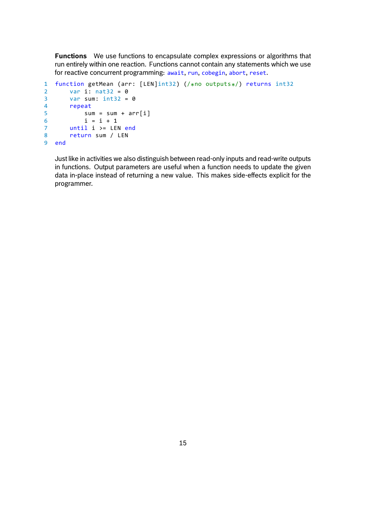**Functions** We use functions to encapsulate complex expressions or algorithms that run entirely within one reaction. Functions cannot contain any statements which we use for reactive concurrent programming: await, run, cobegin, abort, reset.

```
1 function getMean (arr: [LEN]int32) (/*
no outputs*
/) returns int32
2 var i: nat32 = 0
3 var sum: int32 = 0
4 repeat
5 sum = sum + arr[i]
6 i = i + 17 until i >= LEN end
8 return sum / LEN
9 end
```
Just like in activities we also distinguish between read-only inputs and read-write outputs in functions. Output parameters are useful when a function needs to update the given data in-place instead of returning a new value. This makes side-effects explicit for the programmer.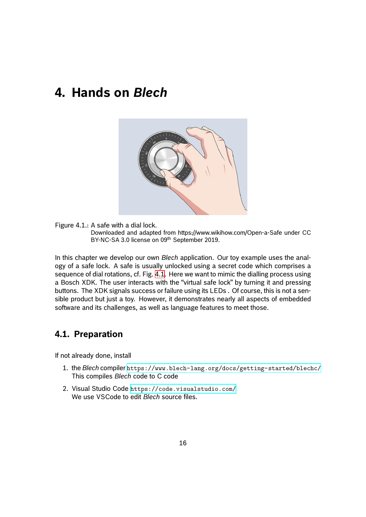## <span id="page-15-0"></span>**4. Hands on** *Blech*



Figure 4.1.: A safe with a dial lock. Downloaded and adapted from https://www.wikihow.com/Open-a-Safe under CC BY-NC-SA 3.0 license on 09<sup>th</sup> September 2019.

<span id="page-15-2"></span>In this chapter we develop our own *Blech* application. Our toy example uses the analogy of a safe lock. A safe is usually unlocked using a secret code which comprises a sequence of dial rotations, cf. Fig. 4.1. Here we want to mimic the dialling process using a Bosch XDK. The user interacts with the "virtual safe lock" by turning it and pressing buttons. The XDK signals success or failure using its LEDs . Of course, this is not a sensible product but just a toy. However, it demonstrates nearly all aspects of embedded software and its challenges, as w[ell a](#page-15-2)s language features to meet those.

### **4.1. Preparation**

<span id="page-15-1"></span>If not already done, install

- 1. the *Blech* compiler https://www.blech-lang.org/docs/getting-started/blechc/ This compiles *Blech* code to C code
- 2. Visual Studio Code https://code.visualstudio.com/ We use VSCode to edit *Blech* [source files.](https://www.blech-lang.org/docs/getting-started/blechc/)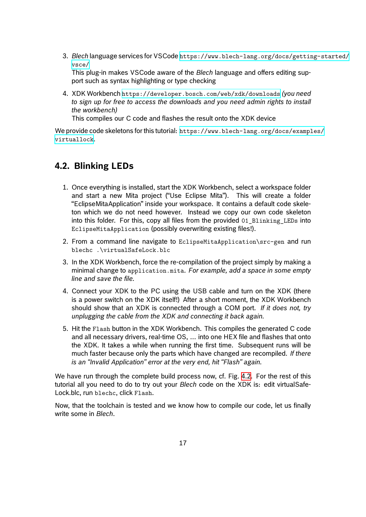3. *Blech* language services for VSCode https://www.blech-lang.org/docs/getting-started/ vsce/

This plug-in makes VSCode aware of the *Blech* language and offers editing support such as syntax highlighting or t[ype checking](https://www.blech-lang.org/docs/getting-started/vsce/)

4. [XDK W](https://www.blech-lang.org/docs/getting-started/vsce/)orkbench https://developer.bosch.com/web/xdk/downloads *(you need to sign up for free to access the downloads and you need admin rights to install the workbench)*

This compiles o[ur C code and flashes the result onto the XDK device](https://developer.bosch.com/web/xdk/downloads)

We provide code skeletons for this tutorial: https://www.blech-lang.org/docs/examples/ virtuallock.

### **[4.2. Blink](https://www.blech-lang.org/docs/examples/virtuallock)ing LEDs**

- <span id="page-16-0"></span>1. Once everything is installed, start the XDK Workbench, select a workspace folder and start a new Mita project ("Use Eclipse Mita"). This will create a folder "EclipseMitaApplication" inside your workspace. It contains a default code skeleton which we do not need however. Instead we copy our own code skeleton into this folder. For this, copy all files from the provided 01\_Blinking\_LEDs into EclipseMitaApplication (possibly overwriting existing files!).
- 2. From a command line navigate to EclipseMitaApplication\src-gen and run blechc .\virtualSafeLock.blc
- 3. In the XDK Workbench, force the re-compilation of the project simply by making a minimal change to application.mita. *For example, add a space in some empty line and save the file.*
- 4. Connect your XDK to the PC using the USB cable and turn on the XDK (there is a power switch on the XDK itself!) After a short moment, the XDK Workbench should show that an XDK is connected through a COM port. *If it does not, try unplugging the cable from the XDK and connecting it back again.*
- 5. Hit the Flash button in the XDK Workbench. This compiles the generated C code and all necessary drivers, real-time OS, … into one HEX file and flashes that onto the XDK. It takes a while when running the first time. Subsequent runs will be much faster because only the parts which have changed are recompiled. *If there is an "Invalid Application" error at the very end, hit "Flash" again.*

We have run through the complete build process now, cf. Fig. 4.2. For the rest of this tutorial all you need to do to try out your *Blech* code on the XDK is: edit virtualSafe-Lock.blc, run blechc, click Flash.

Now, that the toolchain is tested and we know how to compil[e ou](#page-17-1)r code, let us finally write some in *Blech*.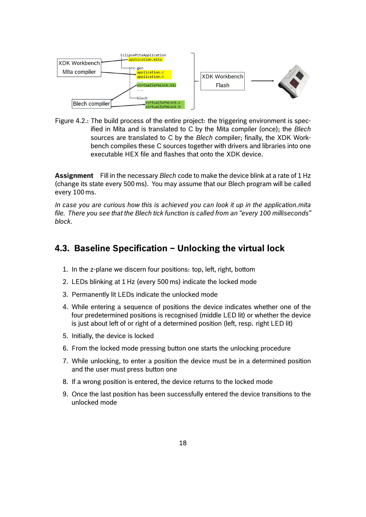

<span id="page-17-1"></span>Figure 4.2.: The build process of the entire project: the triggering environment is specified in Mita and is translated to C by the Mita compiler (once); the *Blech* sources are translated to C by the *Blech* compiler; finally, the XDK Workbench compiles these C sources together with drivers and libraries into one executable HEX file and flashes that onto the XDK device.

**Assignment** Fill in the necessary *Blech* code to make the device blink at a rate of 1 Hz (change its state every 500 ms). You may assume that our Blech program will be called every 100 ms.

*In case you are curious how this is achieved you can look it up in the application.mita file. There you see that the Blech tick function is called from an "every 100 milliseconds" block.*

#### <span id="page-17-0"></span>**4.3. Baseline Specification – Unlocking the virtual lock**

- 1. In the z-plane we discern four positions: top, left, right, bottom
- 2. LEDs blinking at 1 Hz (every 500 ms) indicate the locked mode
- 3. Permanently lit LEDs indicate the unlocked mode
- 4. While entering a sequence of positions the device indicates whether one of the four predetermined positions is recognised (middle LED lit) or whether the device is just about left of or right of a determined position (left, resp. right LED lit)
- 5. Initially, the device is locked
- 6. From the locked mode pressing button one starts the unlocking procedure
- 7. While unlocking, to enter a position the device must be in a determined position and the user must press button one
- 8. If a wrong position is entered, the device returns to the locked mode
- 9. Once the last position has been successfully entered the device transitions to the unlocked mode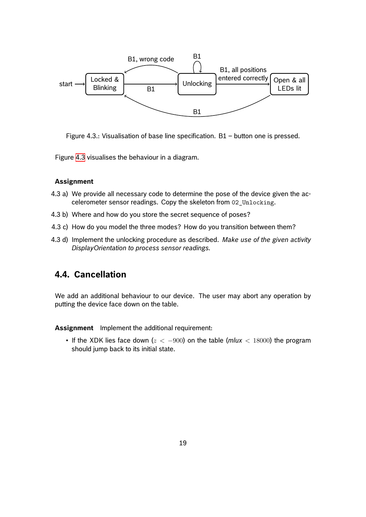

<span id="page-18-1"></span>Figure 4.3.: Visualisation of base line specification. B1 – button one is pressed.

Figure 4.3 visualises the behaviour in a diagram.

#### **Assignment**

- 4.3 a) [We p](#page-18-1)rovide all necessary code to determine the pose of the device given the accelerometer sensor readings. Copy the skeleton from 02\_Unlocking.
- 4.3 b) Where and how do you store the secret sequence of poses?
- 4.3 c) How do you model the three modes? How do you transition between them?
- 4.3 d) Implement the unlocking procedure as described. *Make use of the given activity DisplayOrientation to process sensor readings.*

#### **4.4. Cancellation**

<span id="page-18-0"></span>We add an additional behaviour to our device. The user may abort any operation by putting the device face down on the table.

**Assignment** Implement the additional requirement:

• If the XDK lies face down (*z < −*900) on the table (*mlux <* 18000) the program should jump back to its initial state.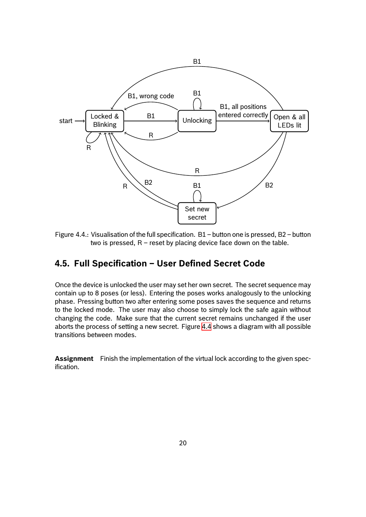

Figure 4.4.: Visualisation of the full specification. B1 – button one is pressed, B2 – button two is pressed,  $R$  – reset by placing device face down on the table.

#### <span id="page-19-1"></span>**4.5. Full Specification – User Defined Secret Code**

<span id="page-19-0"></span>Once the device is unlocked the user may set her own secret. The secret sequence may contain up to 8 poses (or less). Entering the poses works analogously to the unlocking phase. Pressing button two after entering some poses saves the sequence and returns to the locked mode. The user may also choose to simply lock the safe again without changing the code. Make sure that the current secret remains unchanged if the user aborts the process of setting a new secret. Figure 4.4 shows a diagram with all possible transitions between modes.

**Assignment** Finish the implementation of the vi[rtua](#page-19-1)l lock according to the given specification.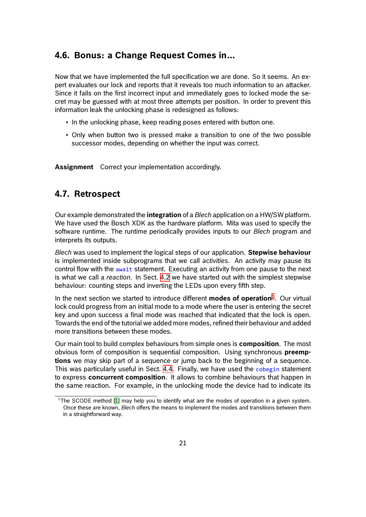### **4.6. Bonus: a Change Request Comes in…**

<span id="page-20-0"></span>Now that we have implemented the full specification we are done. So it seems. An expert evaluates our lock and reports that it reveals too much information to an attacker. Since it fails on the first incorrect input and immediately goes to locked mode the secret may be guessed with at most three attempts per position. In order to prevent this information leak the unlocking phase is redesigned as follows:

- In the unlocking phase, keep reading poses entered with button one.
- Only when button two is pressed make a transition to one of the two possible successor modes, depending on whether the input was correct.

**Assignment** Correct your implementation accordingly.

### **4.7. Retrospect**

<span id="page-20-1"></span>Our example demonstrated the **integration** of a *Blech* application on a HW/SW platform. We have used the Bosch XDK as the hardware platform. Mita was used to specify the software runtime. The runtime periodically provides inputs to our *Blech* program and interprets its outputs.

*Blech* was used to implement the logical steps of our application. **Stepwise behaviour** is implemented inside subprograms that we call *activities*. An activity may pause its control flow with the await statement. Executing an activity from one pause to the next is what we call a *reaction*. In Sect. 4.2 we have started out with the simplest stepwise behaviour: counting steps and inverting the LEDs upon every fifth step.

In the next section we started to introduce different **modes of operation**<sup>1</sup>. Our virtual lock could progress from an initial m[ode](#page-16-0) to a mode where the user is entering the secret key and upon success a final mode was reached that indicated that the lock is open. Towards the end of the tutorial we added more modes, refined their behavi[ou](#page-20-2)r and added more transitions between these modes.

Our main tool to build complex behaviours from simple ones is **composition**. The most obvious form of composition is sequential composition. Using synchronous **preemptions** we may skip part of a sequence or jump back to the beginning of a sequence. This was particularly useful in Sect. 4.4. Finally, we have used the cobegin statement to express **concurrent composition**. It allows to combine behaviours that happen in the same reaction. For example, in the unlocking mode the device had to indicate its

<span id="page-20-2"></span><sup>&</sup>lt;sup>1</sup>The SCODE method [1] may help you to [iden](#page-18-0)tify what are the modes of operation in a given system. Once these are known, *Blech* offers the means to implement the modes and transitions between them in a straightforward way.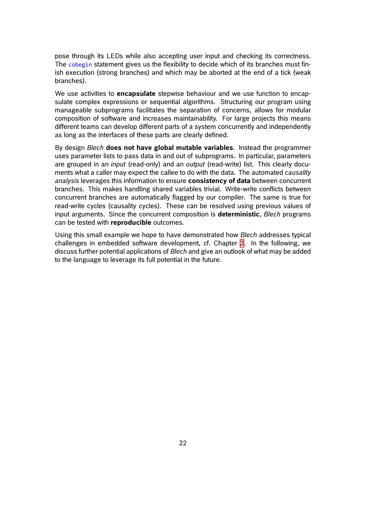pose through its LEDs while also accepting user input and checking its correctness. The cobegin statement gives us the flexibility to decide which of its branches must finish execution (strong branches) and which may be aborted at the end of a tick (weak branches).

We use activities to **encapsulate** stepwise behaviour and we use function to encapsulate complex expressions or sequential algorithms. Structuring our program using manageable subprograms facilitates the separation of concerns, allows for modular composition of software and increases maintainability. For large projects this means different teams can develop different parts of a system concurrently and independently as long as the interfaces of these parts are clearly defined.

By design *Blech* **does not have global mutable variables**. Instead the programmer uses parameter lists to pass data in and out of subprograms. In particular, parameters are grouped in an *input* (read-only) and an *output* (read-write) list. This clearly documents what a caller may expect the callee to do with the data. The automated *causality analysis* leverages this information to ensure **consistency of data** between concurrent branches. This makes handling shared variables trivial. Write-write conflicts between concurrent branches are automatically flagged by our compiler. The same is true for read-write cycles (causality cycles). These can be resolved using previous values of input arguments. Since the concurrent composition is **deterministic**, *Blech* programs can be tested with **reproducible** outcomes.

Using this small example we hope to have demonstrated how *Blech* addresses typical challenges in embedded software development, cf. Chapter 2. In the following, we discuss further potential applications of *Blech* and give an outlook of what may be added to the language to leverage its full potential in the future.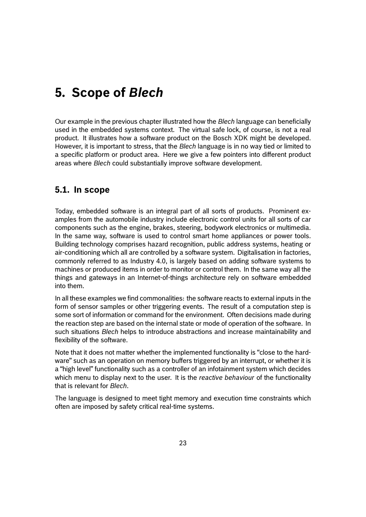### <span id="page-22-0"></span>**5. Scope of** *Blech*

Our example in the previous chapter illustrated how the *Blech* language can beneficially used in the embedded systems context. The virtual safe lock, of course, is not a real product. It illustrates how a software product on the Bosch XDK might be developed. However, it is important to stress, that the *Blech* language is in no way tied or limited to a specific platform or product area. Here we give a few pointers into different product areas where *Blech* could substantially improve software development.

#### <span id="page-22-1"></span>**5.1. In scope**

Today, embedded software is an integral part of all sorts of products. Prominent examples from the automobile industry include electronic control units for all sorts of car components such as the engine, brakes, steering, bodywork electronics or multimedia. In the same way, software is used to control smart home appliances or power tools. Building technology comprises hazard recognition, public address systems, heating or air-conditioning which all are controlled by a software system. Digitalisation in factories, commonly referred to as Industry 4.0, is largely based on adding software systems to machines or produced items in order to monitor or control them. In the same way all the things and gateways in an Internet-of-things architecture rely on software embedded into them.

In all these examples we find commonalities: the software reacts to external inputs in the form of sensor samples or other triggering events. The result of a computation step is some sort of information or command for the environment. Often decisions made during the reaction step are based on the internal state or mode of operation of the software. In such situations *Blech* helps to introduce abstractions and increase maintainability and flexibility of the software.

Note that it does not matter whether the implemented functionality is "close to the hardware" such as an operation on memory buffers triggered by an interrupt, or whether it is a "high level" functionality such as a controller of an infotainment system which decides which menu to display next to the user. It is the *reactive behaviour* of the functionality that is relevant for *Blech*.

The language is designed to meet tight memory and execution time constraints which often are imposed by safety critical real-time systems.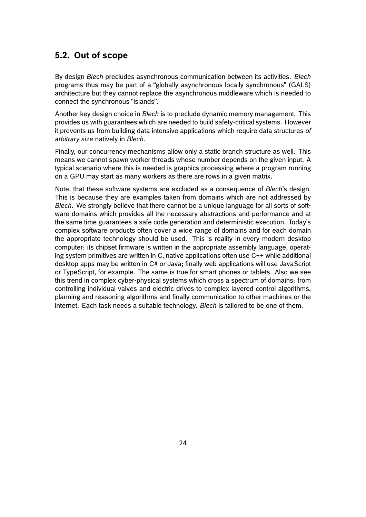#### <span id="page-23-0"></span>**5.2. Out of scope**

By design *Blech* precludes asynchronous communication between its activities. *Blech* programs thus may be part of a "globally asynchronous locally synchronous" (GALS) architecture but they cannot replace the asynchronous middleware which is needed to connect the synchronous "islands".

Another key design choice in *Blech* is to preclude dynamic memory management. This provides us with guarantees which are needed to build safety-critical systems. However it prevents us from building data intensive applications which require data structures *of arbitrary size* natively in *Blech*.

Finally, our concurrency mechanisms allow only a static branch structure as well. This means we cannot spawn worker threads whose number depends on the given input. A typical scenario where this is needed is graphics processing where a program running on a GPU may start as many workers as there are rows in a given matrix.

Note, that these software systems are excluded as a consequence of *Blech*'s design. This is because they are examples taken from domains which are not addressed by *Blech*. We strongly believe that there cannot be a unique language for all sorts of software domains which provides all the necessary abstractions and performance and at the same time guarantees a safe code generation and deterministic execution. Today's complex software products often cover a wide range of domains and for each domain the appropriate technology should be used. This is reality in every modern desktop computer: its chipset firmware is written in the appropriate assembly language, operating system primitives are written in C, native applications often use C++ while additional desktop apps may be written in C# or Java; finally web applications will use JavaScript or TypeScript, for example. The same is true for smart phones or tablets. Also we see this trend in complex cyber-physical systems which cross a spectrum of domains: from controlling individual valves and electric drives to complex layered control algorithms, planning and reasoning algorithms and finally communication to other machines or the internet. Each task needs a suitable technology. *Blech* is tailored to be one of them.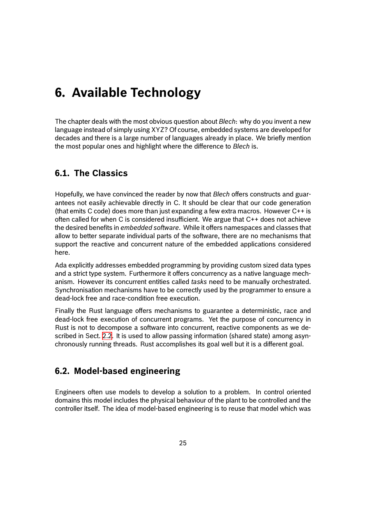### <span id="page-24-0"></span>**6. Available Technology**

The chapter deals with the most obvious question about *Blech*: why do you invent a new language instead of simply using XYZ? Of course, embedded systems are developed for decades and there is a large number of languages already in place. We briefly mention the most popular ones and highlight where the difference to *Blech* is.

### **6.1. The Classics**

<span id="page-24-1"></span>Hopefully, we have convinced the reader by now that *Blech* offers constructs and guarantees not easily achievable directly in C. It should be clear that our code generation (that emits C code) does more than just expanding a few extra macros. However C++ is often called for when C is considered insufficient. We argue that C++ does not achieve the desired benefits in *embedded software*. While it offers namespaces and classes that allow to better separate individual parts of the software, there are no mechanisms that support the reactive and concurrent nature of the embedded applications considered here.

Ada explicitly addresses embedded programming by providing custom sized data types and a strict type system. Furthermore it offers concurrency as a native language mechanism. However its concurrent entities called *tasks* need to be manually orchestrated. Synchronisation mechanisms have to be correctly used by the programmer to ensure a dead-lock free and race-condition free execution.

Finally the Rust language offers mechanisms to guarantee a deterministic, race and dead-lock free execution of concurrent programs. Yet the purpose of concurrency in Rust is not to decompose a software into concurrent, reactive components as we described in Sect. 2.2. It is used to allow passing information (shared state) among asynchronously running threads. Rust accomplishes its goal well but it is a different goal.

### **6.2. Model-[ba](#page-5-2)sed engineering**

<span id="page-24-2"></span>Engineers often use models to develop a solution to a problem. In control oriented domains this model includes the physical behaviour of the plant to be controlled and the controller itself. The idea of model-based engineering is to reuse that model which was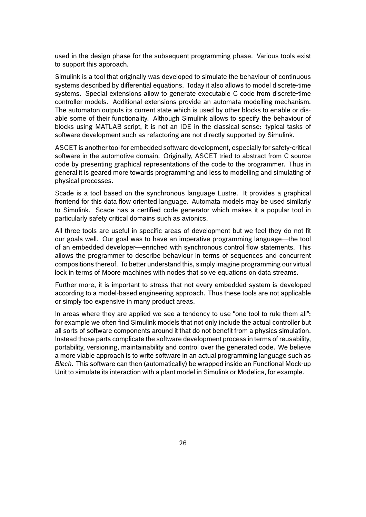used in the design phase for the subsequent programming phase. Various tools exist to support this approach.

Simulink is a tool that originally was developed to simulate the behaviour of continuous systems described by differential equations. Today it also allows to model discrete-time systems. Special extensions allow to generate executable C code from discrete-time controller models. Additional extensions provide an automata modelling mechanism. The automaton outputs its current state which is used by other blocks to enable or disable some of their functionality. Although Simulink allows to specify the behaviour of blocks using MATLAB script, it is not an IDE in the classical sense: typical tasks of software development such as refactoring are not directly supported by Simulink.

ASCET is another tool for embedded software development, especially for safety-critical software in the automotive domain. Originally, ASCET tried to abstract from C source code by presenting graphical representations of the code to the programmer. Thus in general it is geared more towards programming and less to modelling and simulating of physical processes.

Scade is a tool based on the synchronous language Lustre. It provides a graphical frontend for this data flow oriented language. Automata models may be used similarly to Simulink. Scade has a certified code generator which makes it a popular tool in particularly safety critical domains such as avionics.

All three tools are useful in specific areas of development but we feel they do not fit our goals well. Our goal was to have an imperative programming language—the tool of an embedded developer—enriched with synchronous control flow statements. This allows the programmer to describe behaviour in terms of sequences and concurrent compositions thereof. To better understand this, simply imagine programming our virtual lock in terms of Moore machines with nodes that solve equations on data streams.

Further more, it is important to stress that not every embedded system is developed according to a model-based engineering approach. Thus these tools are not applicable or simply too expensive in many product areas.

In areas where they are applied we see a tendency to use "one tool to rule them all": for example we often find Simulink models that not only include the actual controller but all sorts of software components around it that do not benefit from a physics simulation. Instead those parts complicate the software development process in terms of reusability, portability, versioning, maintainability and control over the generated code. We believe a more viable approach is to write software in an actual programming language such as *Blech*. This software can then (automatically) be wrapped inside an Functional Mock-up Unit to simulate its interaction with a plant model in Simulink or Modelica, for example.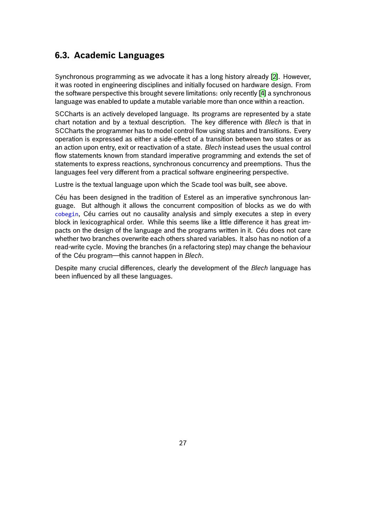### **6.3. Academic Languages**

<span id="page-26-0"></span>Synchronous programming as we advocate it has a long history already [2]. However, it was rooted in engineering disciplines and initially focused on hardware design. From the software perspective this brought severe limitations: only recently [4] a synchronous language was enabled to update a mutable variable more than once within [a](#page-29-0) reaction.

SCCharts is an actively developed language. Its programs are represented by a state chart notation and by a textual description. The key difference wit[h](#page-29-1) *Blech* is that in SCCharts the programmer has to model control flow using states and transitions. Every operation is expressed as either a side-effect of a transition between two states or as an action upon entry, exit or reactivation of a state. *Blech* instead uses the usual control flow statements known from standard imperative programming and extends the set of statements to express reactions, synchronous concurrency and preemptions. Thus the languages feel very different from a practical software engineering perspective.

Lustre is the textual language upon which the Scade tool was built, see above.

Céu has been designed in the tradition of Esterel as an imperative synchronous language. But although it allows the concurrent composition of blocks as we do with cobegin, Céu carries out no causality analysis and simply executes a step in every block in lexicographical order. While this seems like a little difference it has great impacts on the design of the language and the programs written in it. Céu does not care whether two branches overwrite each others shared variables. It also has no notion of a read-write cycle. Moving the branches (in a refactoring step) may change the behaviour of the Céu program—this cannot happen in *Blech*.

Despite many crucial differences, clearly the development of the *Blech* language has been influenced by all these languages.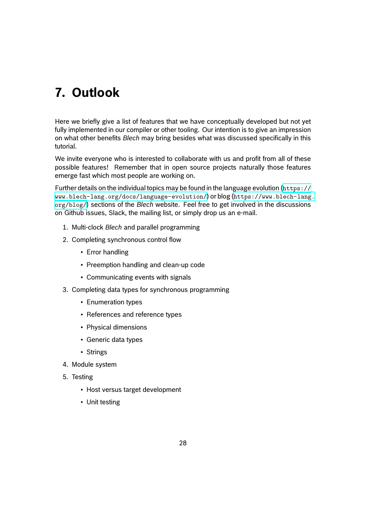# **7. Outlook**

Here we briefly give a list of features that we have conceptually developed but not yet fully implemented in our compiler or other tooling. Our intention is to give an impression on what other benefits *Blech* may bring besides what was discussed specifically in this tutorial.

We invite everyone who is interested to collaborate with us and profit from all of these possible features! Remember that in open source projects naturally those features emerge fast which most people are working on.

Further details on the individual topics may be found in the language evolution  $(https://$ www.blech-lang.org/docs/language-evolution/) or blog (https://www.blech-lang. org/blog/) sections of the *Blech* website. Feel free to get involved in the discussions on Github issues, Slack, the mailing list, or simply drop us an e-mail.

- 1. Multi-clock *Blech* [and parallel programming](https://www.blech-lang.org/docs/language-evolution/)
- 2. [Comp](https://www.blech-lang.org/blog/)leting synchronous control flow
	- Error handling
	- Preemption handling and clean-up code
	- Communicating events with signals
- 3. Completing data types for synchronous programming
	- Enumeration types
	- References and reference types
	- Physical dimensions
	- Generic data types
	- Strings
- 4. Module system
- 5. Testing
	- Host versus target development
	- Unit testing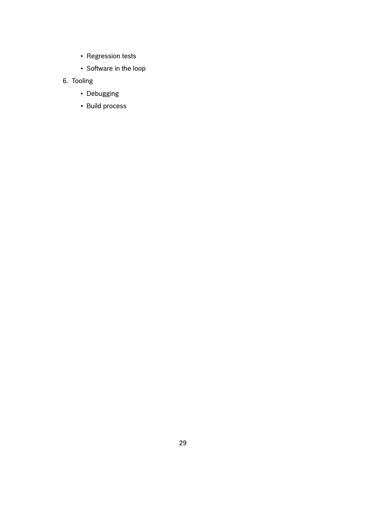- Regression tests
- Software in the loop
- 6. Tooling
	- Debugging
	- Build process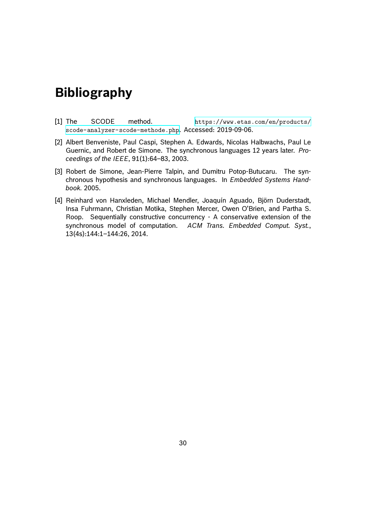### **Bibliography**

- [1] The SCODE method. https://www.etas.com/en/products/ scode-analyzer-scode-methode.php. Accessed: 2019-09-06.
- [2] Albert Benveniste, Paul Caspi, Stephen A. Edwards, Nicolas Halbwachs, Paul Le Guernic, and Robert de Simone. The sync[hronous languages 12 years later.](https://www.etas.com/en/products/scode-analyzer-scode-methode.php) *Pro[ceedings of the IEEE](https://www.etas.com/en/products/scode-analyzer-scode-methode.php)*, 91(1):64–83, 2003.
- <span id="page-29-0"></span>[3] Robert de Simone, Jean-Pierre Talpin, and Dumitru Potop-Butucaru. The synchronous hypothesis and synchronous languages. In *Embedded Systems Handbook.* 2005.
- <span id="page-29-1"></span>[4] Reinhard von Hanxleden, Michael Mendler, Joaquín Aguado, Björn Duderstadt, Insa Fuhrmann, Christian Motika, Stephen Mercer, Owen O'Brien, and Partha S. Roop. Sequentially constructive concurrency - A conservative extension of the synchronous model of computation. *ACM Trans. Embedded Comput. Syst.*, 13(4s):144:1–144:26, 2014.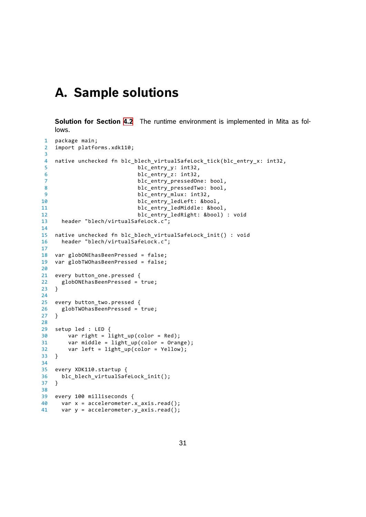### **A. Sample solutions**

**Solution for Section 4.2** The runtime environment is implemented in Mita as follows.

```
1 package main;
2 import platforms.xdk110;
3
4 native unchecked fn blc_blech_virtualSafeLock_tick(blc_entry_x: int32,
5 blc_entry_y: int32,
6 blc_entry_z: int32,
7 blc_entry_pressedOne: bool,
8 blc_entry_pressedTwo: bool,
9 blc_entry_mlux: int32,
10 blc_entry_ledLeft: &bool,
11 blc_entry_ledMiddle: &bool,
12 blc_entry_ledRight: &bool) : void
13 header "blech/virtualSafeLock.c";
14
15 native unchecked fn blc_blech_virtualSafeLock_init() : void
16 header "blech/virtualSafeLock.c";
17
18 var globONEhasBeenPressed = false;
19 var globTWOhasBeenPressed = false;
20
21 every button one.pressed {
22 globONEhasBeenPressed = true;
23 }
24
25 every button_two.pressed {
26 globTWOhasBeenPressed = true;
27 }
28
29 setup led : LED {
30 var right = light_up(color = Red);
31 var middle = light up(color = Orange);
32 var left = light_up(color = Yellow);
33 }
34
35 every XDK110.startup {
36 blc_blech_virtualSafeLock_init();
37 }
38
39 every 100 milliseconds {
40 var x = accelerometer.x axis.read();
41 var y = accelerometer.y_axis.read();
```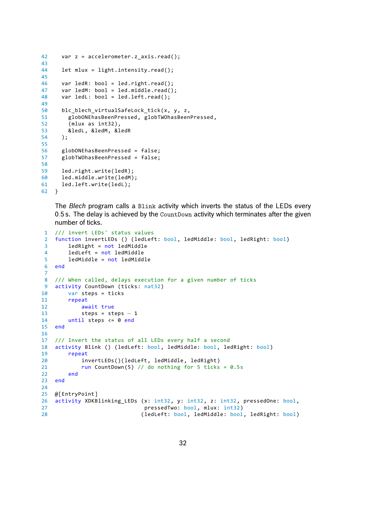```
42 var z = accelerometer.z_axis.read();
43
44 let mlux = light.intensity.read();
45
46 var ledR: bool = led.right.read();<br>47 var ledM: bool = led.middle.read()
47 var ledM: bool = led.middle.read();<br>48 var ledL: bool = led.left.read();
       var ledL: bool = led.left.read();
49
50 blc_blech_virtualSafeLock_tick(x, y, z,<br>51 globONEhasBeenPressed, globTWOhasBeen
         51 globONEhasBeenPressed , globTWOhasBeenPressed ,
52 (mlux as int32),
53 &ledL, &ledM, &ledR
54 );
55
56 globONEhasBeenPressed = false;
57 globTWOhasBeenPressed = false;
58
59 led.right.write(ledR);
60 led.middle.write(ledM);
61 led.left.write(ledL);
62 }
```
The *Blech* program calls a Blink activity which inverts the status of the LEDs every *.*5 s. The delay is achieved by the CountDown activity which terminates after the given number of ticks.

```
1 /// invert LEDs' status values
2 function invertLEDs () (ledLeft: bool, ledMiddle: bool, ledRight: bool)
3 ledRight = not ledMiddle
4 ledLeft = not ledMiddle<br>5 ledMiddle = not ledMidd
       5 ledMiddle = not ledMiddle
6 end
7
8 /// When called, delays execution for a given number of ticks
9 activity CountDown (ticks: nat32)
10 var steps = ticks
11 repeat
12 await true
13 steps = steps − 1<br>14 until steps <= 0 end
       until steps \leq 0 end
15 end
16
17 /// Invert the status of all LEDs every half a second
18 activity Blink () (ledLeft: bool, ledMiddle: bool, ledRight: bool)
19 repeat
20 invertLEDs()(ledLeft, ledMiddle, ledRight)
21 run CountDown(5) // do nothing for 5 ticks = 0.5s
22 end
23 end
24
25 @[EntryPoint]
26 activity XDKBlinking_LEDs (x: int32, y: int32, z: int32, pressedOne: bool,
27 pressedTwo: bool, mlux: int32)
28 (ledLeft: bool, ledMiddle: bool, ledRight: bool)
```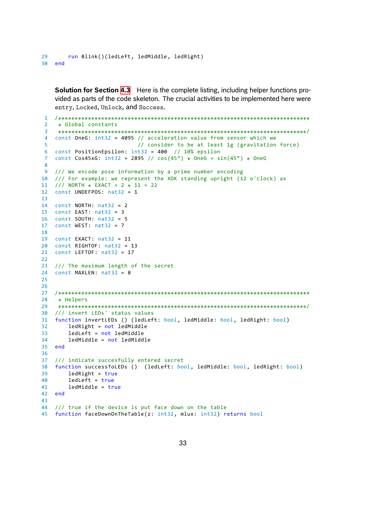**Solution for Section 4.3** Here is the complete listing, including helper functions provided as parts of the code skeleton. The crucial activities to be implemented here were entry, Locked, Unlock, and Success.

```
1 /****************************************************************************
 2 *
Global constants
 3 ***************************************************************************
/
4 const OneG: int32 = 4095 // acceleration value from sensor which we
5 // consider to be at least 1g (gravitation force)
6 const PositionEpsilon: int32 = 400 // 10% epsilon
 7 const Cos45xG: int32 = 2895 // cos(45°) *
OneG = sin(45°) *
OneG
8
9 /// We encode pose information by a prime number encoding
10 /// For example: we represent the XDK standing upright (12 o'clock) as
11 /// NORTH * EXACT = 2 * 11 = 22
12 const UNDEFPOS: nat32 = 1
13
14 const NORTH: nat32 = 2
15 const EAST: nat32 = 3
16 const SOUTH: nat32 = 5
17 const WEST: nat32 = 7
18
19 const EXACT: nat32 = 11
20 const RIGHTOF: nat32 = 13
21 const LEFTOF: nat32 = 17
2223 /// The maximum length of the secret
24 const MAXLEN: nat32 = 8
25
26
27 /****************************************************************************
28<br>29
    * Helpers
29 ***************************************************************************
/
30 /// invert LEDs' status values
31 function invertLEDs () (ledLeft: bool, ledMiddle: bool, ledRight: bool)
32 ledRight = not ledMiddle
33 ledLeft = not ledMiddle
34 ledMiddle = not ledMiddle
35 end
36
37 /// indicate succesfully entered secret
38 function successToLEDs () (ledLeft: bool, ledMiddle: bool, ledRight: bool)
39 ledRight = true
40 ledLeft = true
41 ledMiddle = true
42 end
43
44 /// true if the device is put face down on the table
45 function faceDownOnTheTable(z: int32, mlux: int32) returns bool
```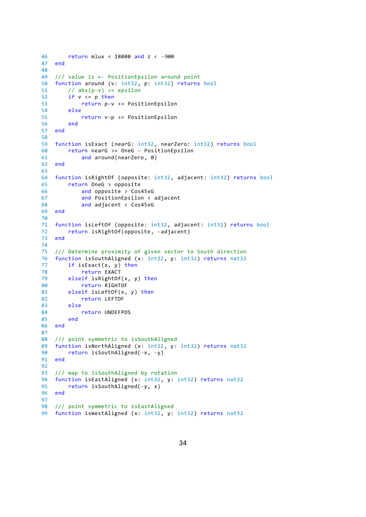```
46 return mlux < 18000 and z < −900
   end
48
49 /// value is +− PositionEpsilon around point
   function around (v: int32, p: int32) returns bool
51 // abs(p−v) <= epsilon
       if v \leq p then53 return p−v <= PositionEpsilon
54 else
55 return v−p <= PositionEpsilon
       end
57 end
58
59 function isExact (nearG: int32, nearZero: int32) returns bool
60 return nearG >= OneG − PositionEpsilon
          and around(nearZero, 0)
62 end
63
64 function isRightOf (opposite: int32, adjacent: int32) returns bool
65 return OneG > opposite
66 and opposite > Cos45xG
67 and PositionEpsilon < adjacent
68 and adjacent < Cos45xG
69 end
70
71 function isLeftOf (opposite: int32, adjacent: int32) returns bool
72 return isRightOf(opposite, −adjacent)
   end
74
75 /// Determine proximity of given vector to South direction
76 function isSouthAligned (x: int32, y: int32) returns nat32
77 if isExact(x, y) then
78 return EXACT
79 elseif isRightOf(x, y) then
80 return RIGHTOF
81 elseif isLeftOf(x, y) then
82 return LEFTOF
83 else
84 return UNDEFPOS
85 end
86 end
87
88 /// point symmetric to isSouthAligned
89 function isNorthAligned (x: int32, y: int32) returns nat32
90 return isSouthAligned(−x, −y)
   end
92
93 /// map to isSouthAligned by rotation
94 function isEastAligned (x: int32, y: int32) returns nat32
95 return isSouthAligned(−y, x)
   end
97
98 /// point symmetric to isEastAligned
99 function isWestAligned (x: int32, y: int32) returns nat32
```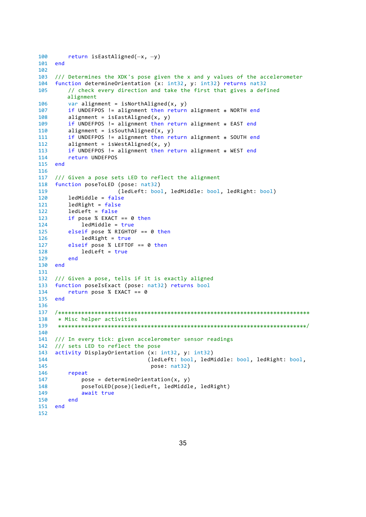```
100 return isEastAligned(−x, −y)
101
102
103 /// Determines the XDK's pose given the x and y values of the accelerometer
104 function determineOrientation (x: int32, y: int32) returns nat32
105 // check every direction and take the first that gives a defined
        alignment
106 var alignment = isNorthAligned(x, y)
107 if UNDEFPOS != alignment then return alignment * NORTH end
108 alignment = isEastAligned(x, y)
109 if UNDEFPOS != alignment then return alignment * EAST end
110 alignment = isSouthAligned(x, y)
111 if UNDEFPOS != alignment then return alignment * SOUTH end
112 alignment = isWestAligned(x, y)
113 if UNDEFPOS != alignment then return alignment * WEST end
114 return UNDEFPOS
115 end
116
117 /// Given a pose sets LED to reflect the alignment
118 function poseToLED (pose: nat32)
119 (ledLeft: bool, ledMiddle: bool, ledRight: bool)
120 ledMiddle = false
121 ledRight = false
122 ledLeft = false
123 if pose % EXACT == 0 then
124 ledMiddle = true<br>125 elseif pose % RIGHTO
125 elseif pose % RIGHTOF == 0 then<br>126 edRight = true
            ledRight = true127 elseif pose % LEFTOF == 0 then
128 ledLeft = true
129 end
130 end
131
132 /// Given a pose, tells if it is exactly aligned
133 function poseIsExact (pose: nat32) returns bool
134 return pose % EXACT == 0
135 end
136
137 /****************************************************************************
138<br>139
    Misc helper activities
139 ***************************************************************************
/
140
141 /// In every tick: given accelerometer sensor readings
142 /// sets LED to reflect the pose
143 activity DisplayOrientation (x: int32, y: int32)
144 (ledLeft: bool, ledMiddle: bool, ledRight: bool,
145 pose: nat32)
        repeat
147 pose = determineOrientation(x, y)
148 poseToLED(pose)(ledLeft, ledMiddle, ledRight)
149 await true
150 end
151 end
152
```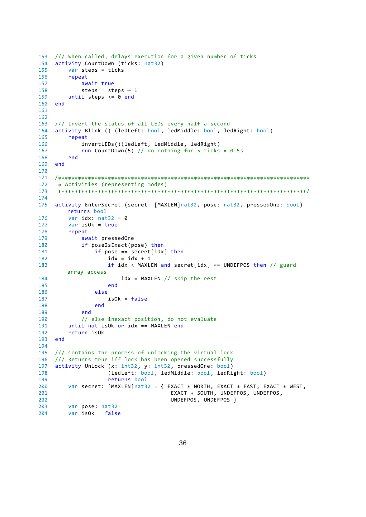```
153 /// When called, delays execution for a given number of ticks
154 activity CountDown (ticks: nat32)
155 var steps = ticks
156 repeat
157 await true<br>158 steps = st
158 steps = steps − 1<br>159 until steps <= 0 end
        until steps <= 0 end
160 end
161
162
163 /// Invert the status of all LEDs every half a second
164 activity Blink () (ledLeft: bool, ledMiddle: bool, ledRight: bool)
165 repeat
166 invertLEDs()(ledLeft, ledMiddle, ledRight)
167 run CountDown(5) // do nothing for 5 ticks = 0.5s
168 end
169 end
170
171 /****************************************************************************
172<br>173
    Activities (representing modes)
173 ***************************************************************************
/
174
175 activity EnterSecret (secret: [MAXLEN]nat32, pose: nat32, pressedOne: bool)
       returns bool
176 var idx: nat32 = 0177 var isOk = true
178 repeat<br>179 aw
           await pressedOne
180 if poseIsExact(pose) then
181 if pose == secret[idx] then
182 idx = idx + 1
183 if idx < MAXLEN and secret[idx] == UNDEFPOS then // guard
       array access
184 idx = MAXLEN // skip the rest
185 end
186 else
187 isOk = false
188 end
189 end
190 // else inexact position, do not evaluate
191 until not isOk or idx == MAXLEN end
192 return isOk
193 end
194
195 /// Contains the process of unlocking the virtual lock
196 /// Returns true iff lock has been opened successfully
197 activity Unlock (x: int32, y: int32, pressedOne: bool)<br>198 (ledLeft: bool, ledMiddle: bool, ledRi
198 (ledLeft: bool, ledMiddle: bool, ledRight: bool)
                  returns bool
200 var secret: [MAXLEN]nat32 = { EXACT * NORTH, EXACT * EAST, EXACT * WEST,
201 EXACT *
SOUTH, UNDEFPOS, UNDEFPOS,
202 UNDEFPOS, UNDEFPOS }
203 var pose: nat32
204 var isOk = false
```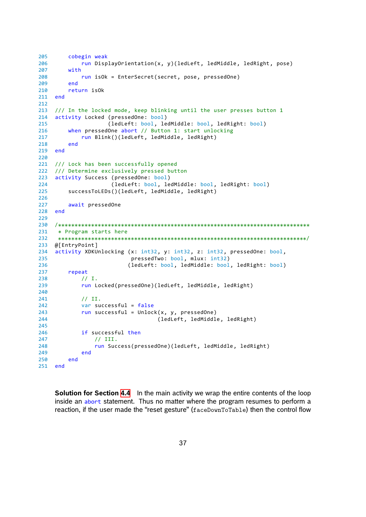```
205 cobegin weak
206 run DisplayOrientation(x, y)(ledLeft, ledMiddle, ledRight, pose)
207 with
208 run isOk = EnterSecret(secret, pose, pressedOne)
209 end
210 return isOk
211 end
212
213 /// In the locked mode, keep blinking until the user presses button 1
214 activity Locked (pressedOne: bool)
215 (ledLeft: bool, ledMiddle: bool, ledRight: bool)
216 when pressedOne abort // Button 1: start unlocking
217 run Blink()(ledLeft, ledMiddle, ledRight)
218 end
219 end
220
221 /// Lock has been successfully opened
222 /// Determine exclusively pressed button
223 activity Success (pressedOne: bool)
224 (ledLeft: bool, ledMiddle: bool, ledRight: bool)
225 successToLEDs()(ledLeft, ledMiddle, ledRight)
226
227 await pressedOne
228 end
229
230 /****************************************************************************
231<br>232
    Program starts here
232 ***************************************************************************
/
233 @[EntryPoint]
234 activity XDKUnlocking (x: int32, y: int32, z: int32, pressedOne: bool,
235 pressedTwo: bool, mlux: int32)
236 (ledLeft: bool, ledMiddle: bool, ledRight: bool)
237 repeat
238 // I.
239 run Locked(pressedOne)(ledLeft, ledMiddle, ledRight)
240
241 // II.
242 var successful = false
243 run successful = Unlock(x, y, pressedOne)
244 (ledLeft, ledMiddle, ledRight)
245
246 if successful then
247 // III.
248 run Success(pressedOne)(ledLeft, ledMiddle, ledRight)
249 end
250 end
251 end
```
**Solution for Section 4.4** In the main activity we wrap the entire contents of the loop inside an abort statement. Thus no matter where the program resumes to perform a reaction, if the user made the "reset gesture" (faceDownToTable) then the control flow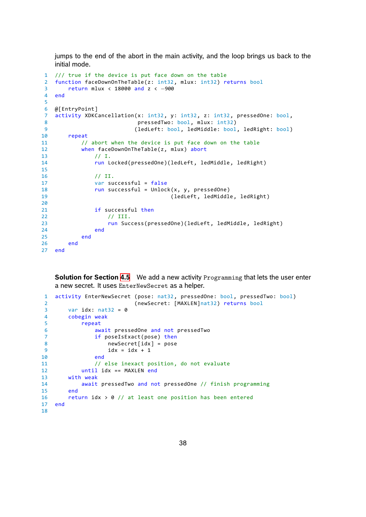jumps to the end of the abort in the main activity, and the loop brings us back to the initial mode.

```
1 /// true if the device is put face down on the table
2 function faceDownOnTheTable(z: int32, mlux: int32) returns bool
3 return mlux < 18000 and z < −900
4 end
5
6 @[EntryPoint]
7 activity XDKCancellation(x: int32, y: int32, z: int32, pressedOne: bool,
8 bool, mlux: int32)
9 (ledLeft: bool, ledMiddle: bool, ledRight: bool)
10 repeat
11 // abort when the device is put face down on the table
12 when faceDownOnTheTable(z, mlux) abort
13 // I.
14 run Locked(pressedOne)(ledLeft, ledMiddle, ledRight)
15
16 // II.
17 var successful = false
18 run successful = Unlock(x, y, pressedOne)
19 (ledLeft, ledMiddle, ledRight)
20
21 if successful then
22 // III.
23 run Success(pressedOne)(ledLeft, ledMiddle, ledRight)
24 end
25 end
26 end
27 end
```
**Solution for Section 4.5** We add a new activity Programming that lets the user enter a new secret. It uses EnterNewSecret as a helper.

```
1 activity EnterNewSecret (pose: nat32, pressedOne: bool, pressedTwo: bool)
2 (newSecret: [MAXLEN]nat32) returns bool
3 var idx: nat32 = 0
4 cobegin weak
5 repeat
6 await pressedOne and not pressedTwo
7 if poseIsExact(pose) then
8 newSecret[idx] = pose
9 idx = idx + 1
10 end
11 // else inexact position, do not evaluate
12 until idx == MAXLEN end
13 with weak
14 await pressedTwo and not pressedOne // finish programming
15 end
16 return idx > 0 // at least one position has been entered
17 end
18
```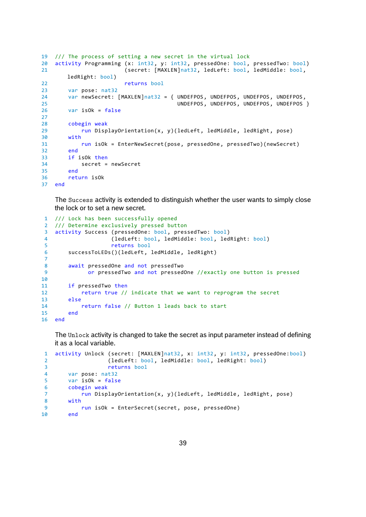```
19 /// The process of setting a new secret in the virtual lock
20 activity Programming (x: int32, y: int32, pressedOne: bool, pressedTwo: bool)
21 (secret: [MAXLEN]nat32, ledLeft: bool, ledMiddle: bool,
      ledRight: bool)
22 returns bool
23 var pose: nat32
24 var newSecret: [MAXLEN]nat32 = { UNDEFPOS, UNDEFPOS, UNDEFPOS, UNDEFPOS,
25 UNDEFPOS, UNDEFPOS, UNDEFPOS, UNDEFPOS }
26 var isOk = false
27
28 cobegin weak
29 run DisplayOrientation(x, y)(ledLeft, ledMiddle, ledRight, pose)
30 with
31 run isOk = EnterNewSecret(pose, pressedOne, pressedTwo)(newSecret)
32 end
33 if isOk then
34 secret = newSecret
35 end
36 return isOk
37 end
```
The Success activity is extended to distinguish whether the user wants to simply close the lock or to set a new secret.

```
1 /// Lock has been successfully opened
2 /// Determine exclusively pressed button
3 activity Success (pressedOne: bool, pressedTwo: bool)
4 (ledLeft: bool, ledMiddle: bool, ledRight: bool)
5 returns bool
6 successToLEDs()(ledLeft, ledMiddle, ledRight)
7
8 await pressedOne and not pressedTwo
9 or pressedTwo and not pressedOne //exactly one button is pressed
10
11 if pressedTwo then
12 return true // indicate that we want to reprogram the secret
13 else
14 return false // Button 1 leads back to start
15 end
16 end
```
The Unlock activity is changed to take the secret as input parameter instead of defining it as a local variable.

```
1 activity Unlock (secret: [MAXLEN]nat32, x: int32, y: int32, pressedOne:bool)
2 (ledLeft: bool, ledMiddle: bool, ledRight: bool)
3 returns bool
4 var pose: nat32
5 var isOk = false
6 cobegin weak
7 run DisplayOrientation(x, y)(ledLeft, ledMiddle, ledRight, pose)
8 with<br>9
9 run isOk = EnterSecret(secret, pose, pressedOne)
      end
```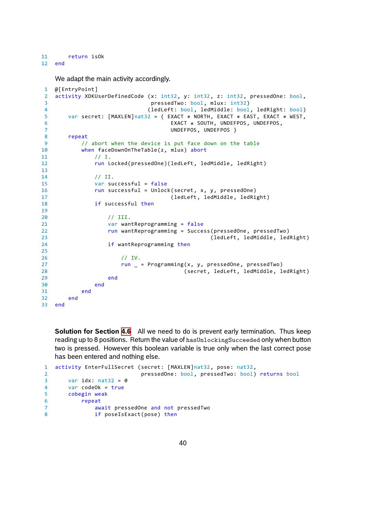We adapt the main activity accordingly.

```
1 @[EntryPoint]
2 activity XDKUserDefinedCode (x: int32, y: int32, z: int32, pressedOne: bool,
3 pressedTwo: bool, mlux: int32)
4 (ledLeft: bool, ledMiddle: bool, ledRight: bool)
5 var secret: [MAXLEN]nat32 = { EXACT * NORTH, EXACT * EAST, EXACT * WEST,
\overline{6} EXACT \overline{8}EXACT * SOUTH, UNDEFPOS, UNDEFPOS,
7 UNDEFPOS, UNDEFPOS }
8 repeat
9 // abort when the device is put face down on the table
10 when faceDownOnTheTable(z, mlux) abort
11 // I.
12 run Locked(pressedOne)(ledLeft, ledMiddle, ledRight)
13
14 // II.
15 var successful = false
16 run successful = Unlock(secret, x, y, pressedOne)
17 (1edLeft, ledMiddle, ledRight)
18 if successful then
19
20 // III.
21 var wantReprogramming = false
22 run wantReprogramming = Success(pressedOne, pressedTwo)
23 (ledLeft, ledMiddle, ledRight)
24 if wantReprogramming then
25
26 // IV.
27 run _ = Programming(x, y, pressedOne, pressedTwo)
28 (secret, ledLeft, ledMiddle, ledRight)
29 end
30 end
31 end
32 end
33 end
```
**Solution for Section 4.6** All we need to do is prevent early termination. Thus keep reading up to 8 positions. Return the value of hasUnlockingSucceeded only when button two is pressed. However this boolean variable is true only when the last correct pose has been entered and [not](#page-20-0)hing else.

```
1 activity EnterFullSecret (secret: [MAXLEN]nat32, pose: nat32,
2 pressedOne: bool, pressedTwo: bool) returns bool
3 var idx: nat32 = 0
4 var codeOk = true
5 cobegin weak
6 repeat
7 await pressedOne and not pressedTwo
8 if poseIsExact(pose) then
```